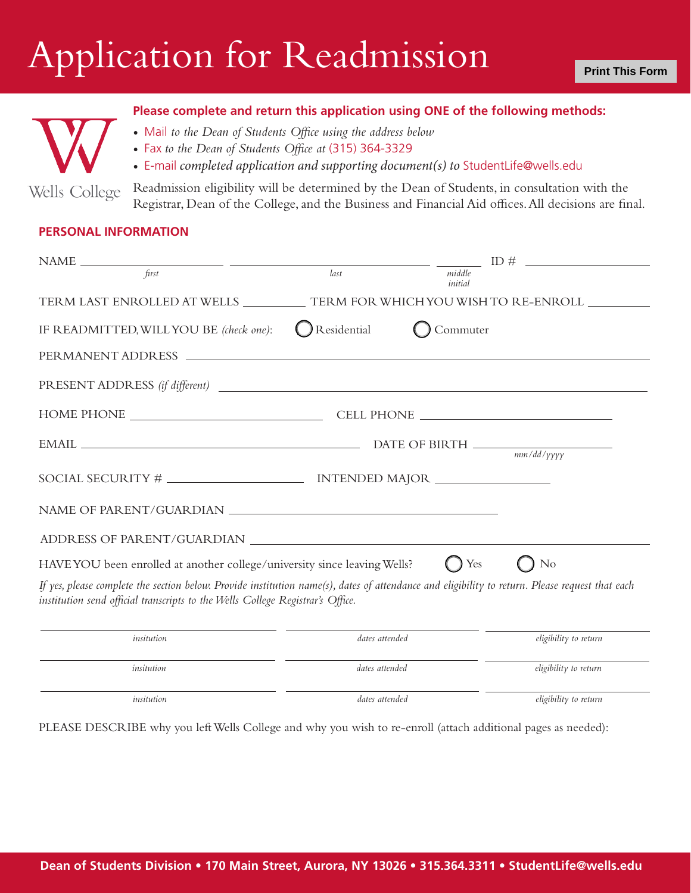## Application for Readmission

## **Please complete and return this application using ONE of the following methods:**

- Mail *to the Dean of Students Office using the address below*
- Fax *to the Dean of Students Office at* (315) 364-3329
- E-mail *completed application and supporting document(s) to* StudentLife@wells.edu

Readmission eligibility will be determined by the Dean of Students, in consultation with the Wells College Registrar, Dean of the College, and the Business and Financial Aid offices. All decisions are final.

## **PERSONAL INFORMATION**

|                                                                                                                                                                                                                                   |                |                   | ID $\#$ $\qquad$      |
|-----------------------------------------------------------------------------------------------------------------------------------------------------------------------------------------------------------------------------------|----------------|-------------------|-----------------------|
| first                                                                                                                                                                                                                             | last           | middle<br>initial |                       |
| TERM LAST ENROLLED AT WELLS _____________ TERM FOR WHICH YOU WISH TO RE-ENROLL _________                                                                                                                                          |                |                   |                       |
| IF READMITTED, WILL YOU BE (check one):                                                                                                                                                                                           | Residential    | Commuter          |                       |
|                                                                                                                                                                                                                                   |                |                   |                       |
| PRESENT ADDRESS (if different)                                                                                                                                                                                                    |                |                   |                       |
|                                                                                                                                                                                                                                   |                |                   |                       |
|                                                                                                                                                                                                                                   |                |                   |                       |
|                                                                                                                                                                                                                                   |                |                   |                       |
|                                                                                                                                                                                                                                   |                |                   |                       |
|                                                                                                                                                                                                                                   |                |                   |                       |
| HAVE YOU been enrolled at another college/university since leaving Wells?                                                                                                                                                         |                | Yes               | N <sub>o</sub>        |
| If yes, please complete the section below. Provide institution name(s), dates of attendance and eligibility to return. Please request that each<br>institution send official transcripts to the Wells College Registrar's Office. |                |                   |                       |
| insitution                                                                                                                                                                                                                        | dates attended |                   | eligibility to return |
| insitution                                                                                                                                                                                                                        | dates attended |                   | eligibility to return |

*insitution dates attended eligibility to return*

PLEASE DESCRIBE why you left Wells College and why you wish to re-enroll (attach additional pages as needed):